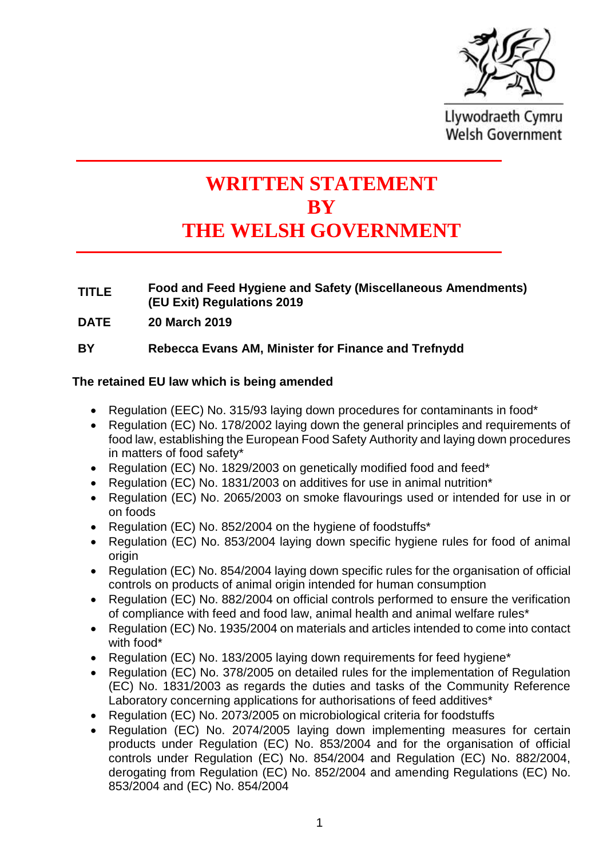

Llywodraeth Cymru **Welsh Government** 

# **WRITTEN STATEMENT BY THE WELSH GOVERNMENT**

## **TITLE Food and Feed Hygiene and Safety (Miscellaneous Amendments) (EU Exit) Regulations 2019**

**DATE 20 March 2019**

## **BY Rebecca Evans AM, Minister for Finance and Trefnydd**

## **The retained EU law which is being amended**

- Regulation (EEC) No. 315/93 laving down procedures for contaminants in food\*
- Regulation (EC) No. 178/2002 laying down the general principles and requirements of food law, establishing the European Food Safety Authority and laying down procedures in matters of food safety\*
- Regulation (EC) No. 1829/2003 on genetically modified food and feed\*
- Regulation (EC) No. 1831/2003 on additives for use in animal nutrition\*
- Regulation (EC) No. 2065/2003 on smoke flavourings used or intended for use in or on foods
- Regulation (EC) No. 852/2004 on the hygiene of foodstuffs\*
- Regulation (EC) No. 853/2004 laying down specific hygiene rules for food of animal origin
- Regulation (EC) No. 854/2004 laying down specific rules for the organisation of official controls on products of animal origin intended for human consumption
- Regulation (EC) No. 882/2004 on official controls performed to ensure the verification of compliance with feed and food law, animal health and animal welfare rules\*
- Regulation (EC) No. 1935/2004 on materials and articles intended to come into contact with food\*
- Regulation (EC) No. 183/2005 laying down requirements for feed hygiene<sup>\*</sup>
- Regulation (EC) No. 378/2005 on detailed rules for the implementation of Regulation (EC) No. 1831/2003 as regards the duties and tasks of the Community Reference Laboratory concerning applications for authorisations of feed additives<sup>\*</sup>
- Regulation (EC) No. 2073/2005 on microbiological criteria for foodstuffs
- Regulation (EC) No. 2074/2005 laying down implementing measures for certain products under Regulation (EC) No. 853/2004 and for the organisation of official controls under Regulation (EC) No. 854/2004 and Regulation (EC) No. 882/2004, derogating from Regulation (EC) No. 852/2004 and amending Regulations (EC) No. 853/2004 and (EC) No. 854/2004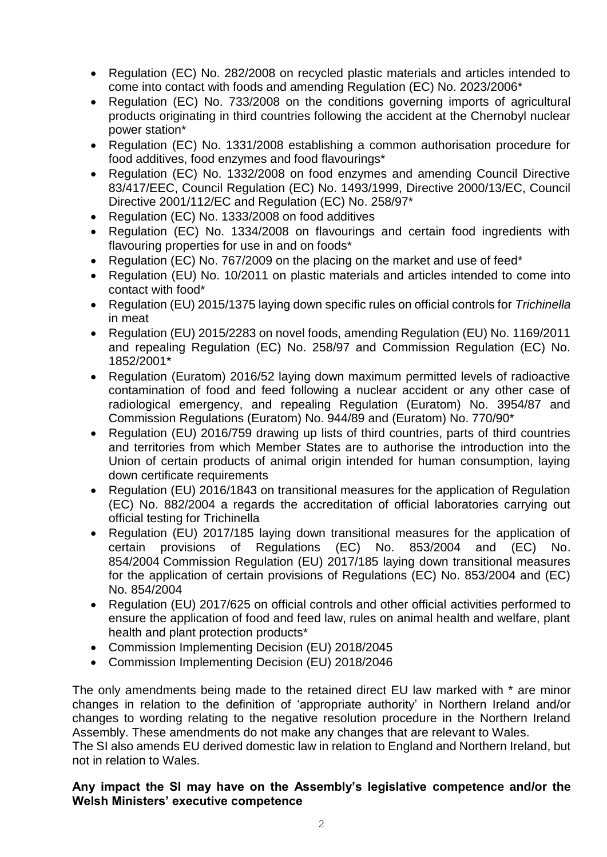- Regulation (EC) No. 282/2008 on recycled plastic materials and articles intended to come into contact with foods and amending Regulation (EC) No. 2023/2006\*
- Regulation (EC) No. 733/2008 on the conditions governing imports of agricultural products originating in third countries following the accident at the Chernobyl nuclear power station\*
- Regulation (EC) No. 1331/2008 establishing a common authorisation procedure for food additives, food enzymes and food flavourings\*
- Regulation (EC) No. 1332/2008 on food enzymes and amending Council Directive 83/417/EEC, Council Regulation (EC) No. 1493/1999, Directive 2000/13/EC, Council Directive 2001/112/EC and Regulation (EC) No. 258/97\*
- Regulation (EC) No. 1333/2008 on food additives
- Regulation (EC) No. 1334/2008 on flavourings and certain food ingredients with flavouring properties for use in and on foods\*
- Regulation (EC) No. 767/2009 on the placing on the market and use of feed\*
- Regulation (EU) No. 10/2011 on plastic materials and articles intended to come into contact with food\*
- Regulation (EU) 2015/1375 laying down specific rules on official controls for *Trichinella* in meat
- Regulation (EU) 2015/2283 on novel foods, amending Regulation (EU) No. 1169/2011 and repealing Regulation (EC) No. 258/97 and Commission Regulation (EC) No. 1852/2001\*
- Regulation (Euratom) 2016/52 laying down maximum permitted levels of radioactive contamination of food and feed following a nuclear accident or any other case of radiological emergency, and repealing Regulation (Euratom) No. 3954/87 and Commission Regulations (Euratom) No. 944/89 and (Euratom) No. 770/90\*
- Regulation (EU) 2016/759 drawing up lists of third countries, parts of third countries and territories from which Member States are to authorise the introduction into the Union of certain products of animal origin intended for human consumption, laying down certificate requirements
- Regulation (EU) 2016/1843 on transitional measures for the application of Regulation (EC) No. 882/2004 a regards the accreditation of official laboratories carrying out official testing for Trichinella
- Regulation (EU) 2017/185 laying down transitional measures for the application of certain provisions of Regulations (EC) No. 853/2004 and (EC) No. 854/2004 Commission Regulation (EU) 2017/185 laying down transitional measures for the application of certain provisions of Regulations (EC) No. 853/2004 and (EC) No. 854/2004
- Regulation (EU) 2017/625 on official controls and other official activities performed to ensure the application of food and feed law, rules on animal health and welfare, plant health and plant protection products\*
- Commission Implementing Decision (EU) 2018/2045
- Commission Implementing Decision (EU) 2018/2046

The only amendments being made to the retained direct EU law marked with \* are minor changes in relation to the definition of 'appropriate authority' in Northern Ireland and/or changes to wording relating to the negative resolution procedure in the Northern Ireland Assembly. These amendments do not make any changes that are relevant to Wales.

The SI also amends EU derived domestic law in relation to England and Northern Ireland, but not in relation to Wales.

#### **Any impact the SI may have on the Assembly's legislative competence and/or the Welsh Ministers' executive competence**